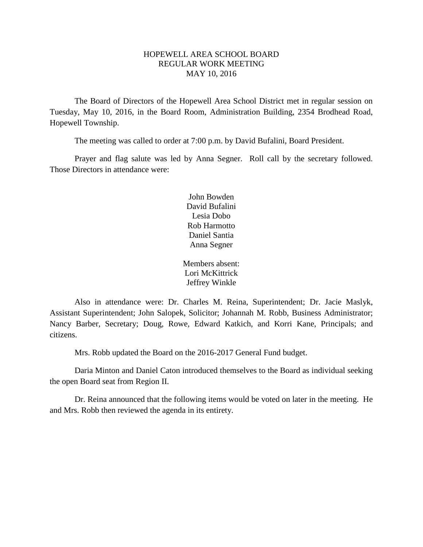## HOPEWELL AREA SCHOOL BOARD REGULAR WORK MEETING MAY 10, 2016

The Board of Directors of the Hopewell Area School District met in regular session on Tuesday, May 10, 2016, in the Board Room, Administration Building, 2354 Brodhead Road, Hopewell Township.

The meeting was called to order at 7:00 p.m. by David Bufalini, Board President.

Prayer and flag salute was led by Anna Segner. Roll call by the secretary followed. Those Directors in attendance were:

> John Bowden David Bufalini Lesia Dobo Rob Harmotto Daniel Santia Anna Segner

Members absent: Lori McKittrick Jeffrey Winkle

Also in attendance were: Dr. Charles M. Reina, Superintendent; Dr. Jacie Maslyk, Assistant Superintendent; John Salopek, Solicitor; Johannah M. Robb, Business Administrator; Nancy Barber, Secretary; Doug, Rowe, Edward Katkich, and Korri Kane, Principals; and citizens.

Mrs. Robb updated the Board on the 2016-2017 General Fund budget.

Daria Minton and Daniel Caton introduced themselves to the Board as individual seeking the open Board seat from Region II.

Dr. Reina announced that the following items would be voted on later in the meeting. He and Mrs. Robb then reviewed the agenda in its entirety.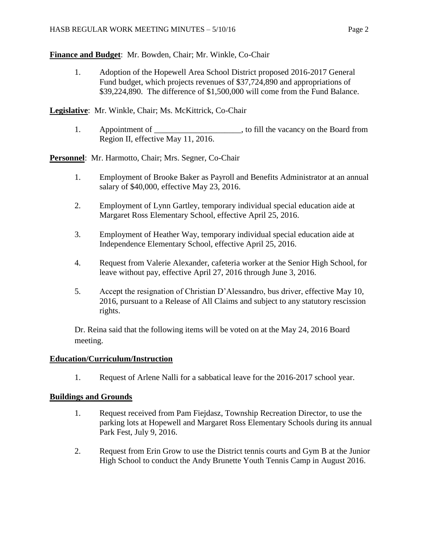**Finance and Budget**: Mr. Bowden, Chair; Mr. Winkle, Co-Chair

1. Adoption of the Hopewell Area School District proposed 2016-2017 General Fund budget, which projects revenues of \$37,724,890 and appropriations of \$39,224,890. The difference of \$1,500,000 will come from the Fund Balance.

**Legislative**: Mr. Winkle, Chair; Ms. McKittrick, Co-Chair

1. Appointment of \_\_\_\_\_\_\_\_\_\_\_\_\_\_\_\_\_\_\_, to fill the vacancy on the Board from Region II, effective May 11, 2016.

**Personnel**: Mr. Harmotto, Chair; Mrs. Segner, Co-Chair

- 1. Employment of Brooke Baker as Payroll and Benefits Administrator at an annual salary of \$40,000, effective May 23, 2016.
- 2. Employment of Lynn Gartley, temporary individual special education aide at Margaret Ross Elementary School, effective April 25, 2016.
- 3. Employment of Heather Way, temporary individual special education aide at Independence Elementary School, effective April 25, 2016.
- 4. Request from Valerie Alexander, cafeteria worker at the Senior High School, for leave without pay, effective April 27, 2016 through June 3, 2016.
- 5. Accept the resignation of Christian D'Alessandro, bus driver, effective May 10, 2016, pursuant to a Release of All Claims and subject to any statutory rescission rights.

Dr. Reina said that the following items will be voted on at the May 24, 2016 Board meeting.

## **Education/Curriculum/Instruction**

1. Request of Arlene Nalli for a sabbatical leave for the 2016-2017 school year.

## **Buildings and Grounds**

- 1. Request received from Pam Fiejdasz, Township Recreation Director, to use the parking lots at Hopewell and Margaret Ross Elementary Schools during its annual Park Fest, July 9, 2016.
- 2. Request from Erin Grow to use the District tennis courts and Gym B at the Junior High School to conduct the Andy Brunette Youth Tennis Camp in August 2016.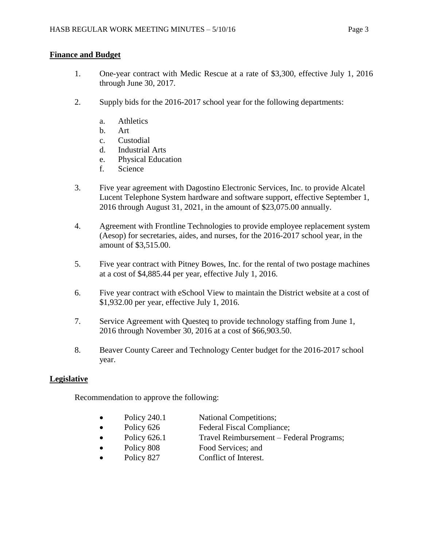# **Finance and Budget**

- 1. One-year contract with Medic Rescue at a rate of \$3,300, effective July 1, 2016 through June 30, 2017.
- 2. Supply bids for the 2016-2017 school year for the following departments:
	- a. Athletics
	- b. Art
	- c. Custodial
	- d. Industrial Arts
	- e. Physical Education
	- f. Science
- 3. Five year agreement with Dagostino Electronic Services, Inc. to provide Alcatel Lucent Telephone System hardware and software support, effective September 1, 2016 through August 31, 2021, in the amount of \$23,075.00 annually.
- 4. Agreement with Frontline Technologies to provide employee replacement system (Aesop) for secretaries, aides, and nurses, for the 2016-2017 school year, in the amount of \$3,515.00.
- 5. Five year contract with Pitney Bowes, Inc. for the rental of two postage machines at a cost of \$4,885.44 per year, effective July 1, 2016.
- 6. Five year contract with eSchool View to maintain the District website at a cost of \$1,932.00 per year, effective July 1, 2016.
- 7. Service Agreement with Questeq to provide technology staffing from June 1, 2016 through November 30, 2016 at a cost of \$66,903.50.
- 8. Beaver County Career and Technology Center budget for the 2016-2017 school year.

# **Legislative**

Recommendation to approve the following:

- Policy 240.1 National Competitions;
- Policy 626 Federal Fiscal Compliance;
- Policy 626.1 Travel Reimbursement Federal Programs;
- Policy 808 Food Services; and
- Policy 827 Conflict of Interest.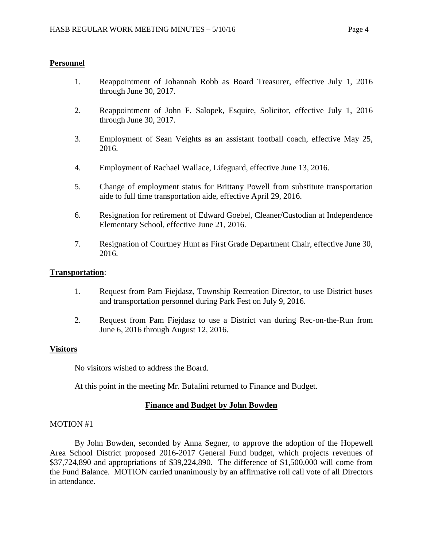## **Personnel**

- 1. Reappointment of Johannah Robb as Board Treasurer, effective July 1, 2016 through June 30, 2017.
- 2. Reappointment of John F. Salopek, Esquire, Solicitor, effective July 1, 2016 through June 30, 2017.
- 3. Employment of Sean Veights as an assistant football coach, effective May 25, 2016.
- 4. Employment of Rachael Wallace, Lifeguard, effective June 13, 2016.
- 5. Change of employment status for Brittany Powell from substitute transportation aide to full time transportation aide, effective April 29, 2016.
- 6. Resignation for retirement of Edward Goebel, Cleaner/Custodian at Independence Elementary School, effective June 21, 2016.
- 7. Resignation of Courtney Hunt as First Grade Department Chair, effective June 30, 2016.

## **Transportation**:

- 1. Request from Pam Fiejdasz, Township Recreation Director, to use District buses and transportation personnel during Park Fest on July 9, 2016.
- 2. Request from Pam Fiejdasz to use a District van during Rec-on-the-Run from June 6, 2016 through August 12, 2016.

## **Visitors**

No visitors wished to address the Board.

At this point in the meeting Mr. Bufalini returned to Finance and Budget.

## **Finance and Budget by John Bowden**

### MOTION #1

By John Bowden, seconded by Anna Segner, to approve the adoption of the Hopewell Area School District proposed 2016-2017 General Fund budget, which projects revenues of \$37,724,890 and appropriations of \$39,224,890. The difference of \$1,500,000 will come from the Fund Balance. MOTION carried unanimously by an affirmative roll call vote of all Directors in attendance.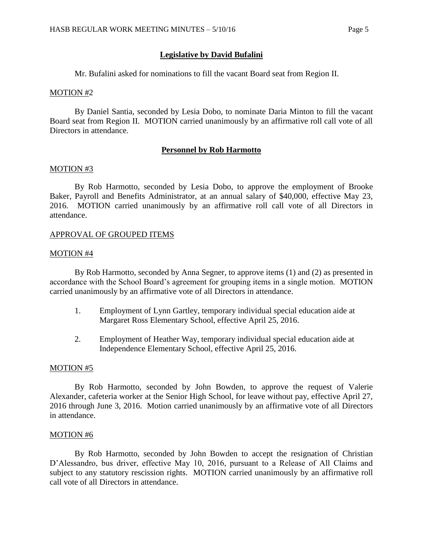### **Legislative by David Bufalini**

Mr. Bufalini asked for nominations to fill the vacant Board seat from Region II.

#### MOTION #2

By Daniel Santia, seconded by Lesia Dobo, to nominate Daria Minton to fill the vacant Board seat from Region II. MOTION carried unanimously by an affirmative roll call vote of all Directors in attendance.

#### **Personnel by Rob Harmotto**

#### MOTION #3

By Rob Harmotto, seconded by Lesia Dobo, to approve the employment of Brooke Baker, Payroll and Benefits Administrator, at an annual salary of \$40,000, effective May 23, 2016. MOTION carried unanimously by an affirmative roll call vote of all Directors in attendance.

#### APPROVAL OF GROUPED ITEMS

#### MOTION #4

By Rob Harmotto, seconded by Anna Segner, to approve items (1) and (2) as presented in accordance with the School Board's agreement for grouping items in a single motion. MOTION carried unanimously by an affirmative vote of all Directors in attendance.

- 1. Employment of Lynn Gartley, temporary individual special education aide at Margaret Ross Elementary School, effective April 25, 2016.
- 2. Employment of Heather Way, temporary individual special education aide at Independence Elementary School, effective April 25, 2016.

#### MOTION #5

By Rob Harmotto, seconded by John Bowden, to approve the request of Valerie Alexander, cafeteria worker at the Senior High School, for leave without pay, effective April 27, 2016 through June 3, 2016. Motion carried unanimously by an affirmative vote of all Directors in attendance.

#### MOTION #6

By Rob Harmotto, seconded by John Bowden to accept the resignation of Christian D'Alessandro, bus driver, effective May 10, 2016, pursuant to a Release of All Claims and subject to any statutory rescission rights. MOTION carried unanimously by an affirmative roll call vote of all Directors in attendance.